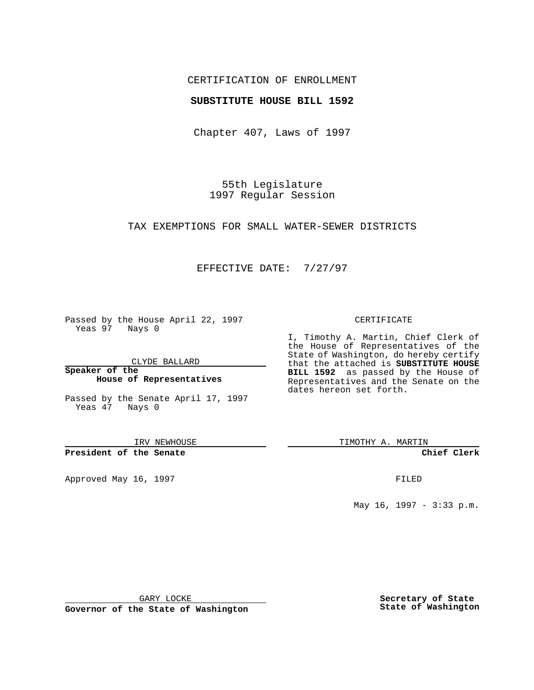## CERTIFICATION OF ENROLLMENT

### **SUBSTITUTE HOUSE BILL 1592**

Chapter 407, Laws of 1997

55th Legislature 1997 Regular Session

TAX EXEMPTIONS FOR SMALL WATER-SEWER DISTRICTS

## EFFECTIVE DATE: 7/27/97

Passed by the House April 22, 1997 Yeas 97 Nays 0

CLYDE BALLARD

**Speaker of the House of Representatives**

Passed by the Senate April 17, 1997 Yeas 47 Nays 0

IRV NEWHOUSE

**President of the Senate**

Approved May 16, 1997 **FILED** 

#### CERTIFICATE

I, Timothy A. Martin, Chief Clerk of the House of Representatives of the State of Washington, do hereby certify that the attached is **SUBSTITUTE HOUSE BILL 1592** as passed by the House of Representatives and the Senate on the dates hereon set forth.

TIMOTHY A. MARTIN

**Chief Clerk**

May 16, 1997 - 3:33 p.m.

GARY LOCKE

**Governor of the State of Washington**

**Secretary of State State of Washington**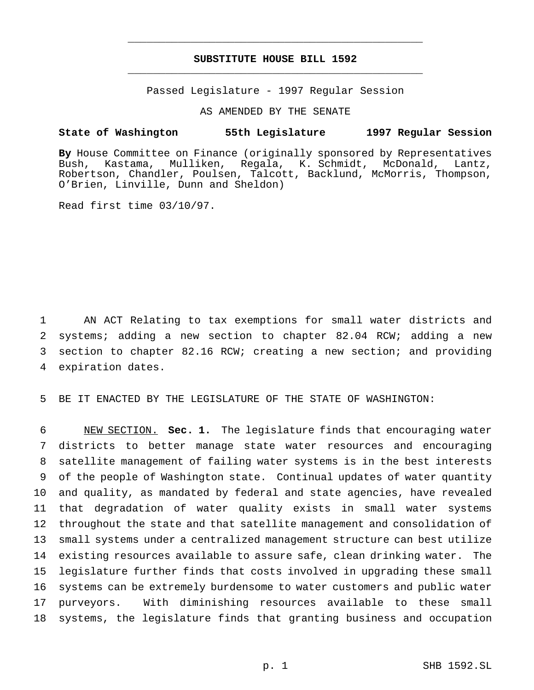# **SUBSTITUTE HOUSE BILL 1592** \_\_\_\_\_\_\_\_\_\_\_\_\_\_\_\_\_\_\_\_\_\_\_\_\_\_\_\_\_\_\_\_\_\_\_\_\_\_\_\_\_\_\_\_\_\_\_

\_\_\_\_\_\_\_\_\_\_\_\_\_\_\_\_\_\_\_\_\_\_\_\_\_\_\_\_\_\_\_\_\_\_\_\_\_\_\_\_\_\_\_\_\_\_\_

Passed Legislature - 1997 Regular Session

AS AMENDED BY THE SENATE

#### **State of Washington 55th Legislature 1997 Regular Session**

**By** House Committee on Finance (originally sponsored by Representatives Bush, Kastama, Mulliken, Regala, K. Schmidt, McDonald, Lantz, Robertson, Chandler, Poulsen, Talcott, Backlund, McMorris, Thompson, O'Brien, Linville, Dunn and Sheldon)

Read first time 03/10/97.

 AN ACT Relating to tax exemptions for small water districts and systems; adding a new section to chapter 82.04 RCW; adding a new section to chapter 82.16 RCW; creating a new section; and providing expiration dates.

5 BE IT ENACTED BY THE LEGISLATURE OF THE STATE OF WASHINGTON:

 NEW SECTION. **Sec. 1.** The legislature finds that encouraging water districts to better manage state water resources and encouraging satellite management of failing water systems is in the best interests of the people of Washington state. Continual updates of water quantity and quality, as mandated by federal and state agencies, have revealed that degradation of water quality exists in small water systems throughout the state and that satellite management and consolidation of small systems under a centralized management structure can best utilize existing resources available to assure safe, clean drinking water. The legislature further finds that costs involved in upgrading these small systems can be extremely burdensome to water customers and public water purveyors. With diminishing resources available to these small systems, the legislature finds that granting business and occupation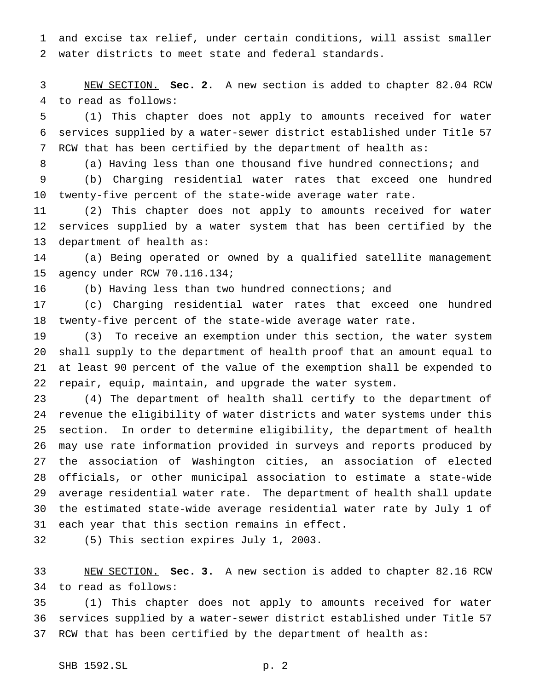and excise tax relief, under certain conditions, will assist smaller water districts to meet state and federal standards.

 NEW SECTION. **Sec. 2.** A new section is added to chapter 82.04 RCW to read as follows:

 (1) This chapter does not apply to amounts received for water services supplied by a water-sewer district established under Title 57 RCW that has been certified by the department of health as:

(a) Having less than one thousand five hundred connections; and

 (b) Charging residential water rates that exceed one hundred twenty-five percent of the state-wide average water rate.

 (2) This chapter does not apply to amounts received for water services supplied by a water system that has been certified by the department of health as:

 (a) Being operated or owned by a qualified satellite management agency under RCW 70.116.134;

(b) Having less than two hundred connections; and

 (c) Charging residential water rates that exceed one hundred twenty-five percent of the state-wide average water rate.

 (3) To receive an exemption under this section, the water system shall supply to the department of health proof that an amount equal to at least 90 percent of the value of the exemption shall be expended to repair, equip, maintain, and upgrade the water system.

 (4) The department of health shall certify to the department of revenue the eligibility of water districts and water systems under this section. In order to determine eligibility, the department of health may use rate information provided in surveys and reports produced by the association of Washington cities, an association of elected officials, or other municipal association to estimate a state-wide average residential water rate. The department of health shall update the estimated state-wide average residential water rate by July 1 of each year that this section remains in effect.

(5) This section expires July 1, 2003.

 NEW SECTION. **Sec. 3.** A new section is added to chapter 82.16 RCW to read as follows:

 (1) This chapter does not apply to amounts received for water services supplied by a water-sewer district established under Title 57 RCW that has been certified by the department of health as: